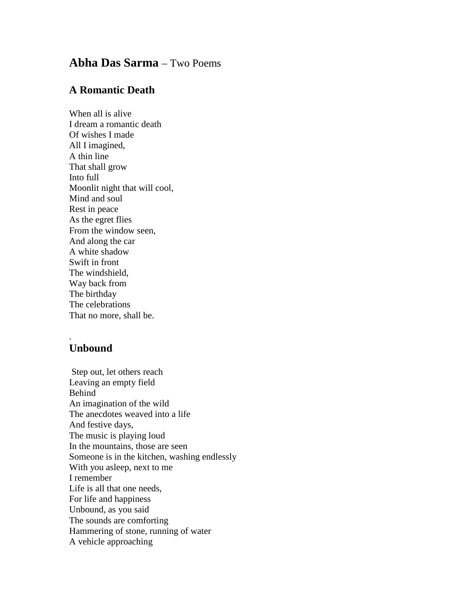## **Abha Das Sarma** – Two Poems

## **A Romantic Death**

When all is alive I dream a romantic death Of wishes I made All I imagined, A thin line That shall grow Into full Moonlit night that will cool, Mind and soul Rest in peace As the egret flies From the window seen, And along the car A white shadow Swift in front The windshield, Way back from The birthday The celebrations That no more, shall be.

## **Unbound**

.

Step out, let others reach Leaving an empty field Behind An imagination of the wild The anecdotes weaved into a life And festive days, The music is playing loud In the mountains, those are seen Someone is in the kitchen, washing endlessly With you asleep, next to me I remember Life is all that one needs, For life and happiness Unbound, as you said The sounds are comforting Hammering of stone, running of water A vehicle approaching